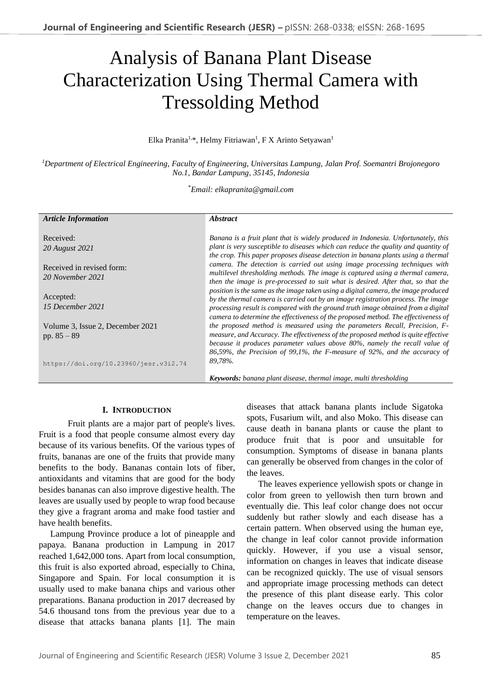# Analysis of Banana Plant Disease Characterization Using Thermal Camera with Tressolding Method

Elka Pranita<sup>1,\*</sup>, Helmy Fitriawan<sup>1</sup>, F X Arinto Setyawan<sup>1</sup>

*<sup>1</sup>Department of Electrical Engineering, Faculty of Engineering, Universitas Lampung, Jalan Prof. Soemantri Brojonegoro No.1, Bandar Lampung, 35145, Indonesia*

\**Email: elkapranita@gmail.com*

| <b>Article Information</b>            | <i><b>Abstract</b></i>                                                             |  |
|---------------------------------------|------------------------------------------------------------------------------------|--|
|                                       |                                                                                    |  |
| Received:                             | Banana is a fruit plant that is widely produced in Indonesia. Unfortunately, this  |  |
| 20 August 2021                        | plant is very susceptible to diseases which can reduce the quality and quantity of |  |
|                                       | the crop. This paper proposes disease detection in banana plants using a thermal   |  |
| Received in revised form:             | camera. The detection is carried out using image processing techniques with        |  |
| 20 November 2021                      | multilevel thresholding methods. The image is captured using a thermal camera,     |  |
|                                       | then the image is pre-processed to suit what is desired. After that, so that the   |  |
|                                       | position is the same as the image taken using a digital camera, the image produced |  |
| Accepted:                             | by the thermal camera is carried out by an image registration process. The image   |  |
| 15 December 2021                      | processing result is compared with the ground truth image obtained from a digital  |  |
|                                       | camera to determine the effectiveness of the proposed method. The effectiveness of |  |
| Volume 3, Issue 2, December 2021      | the proposed method is measured using the parameters Recall, Precision, F-         |  |
| pp. $85 - 89$                         | measure, and Accuracy. The effectiveness of the proposed method is quite effective |  |
|                                       | because it produces parameter values above 80%, namely the recall value of         |  |
|                                       | 86,59%, the Precision of 99,1%, the F-measure of 92%, and the accuracy of          |  |
| https://doi.org/10.23960/jesr.v3i2.74 | 89,78%.                                                                            |  |
|                                       | <b>Keywords:</b> banana plant disease, thermal image, multi thresholding           |  |

## **I. INTRODUCTION**

Fruit plants are a major part of people's lives. Fruit is a food that people consume almost every day because of its various benefits. Of the various types of fruits, bananas are one of the fruits that provide many benefits to the body. Bananas contain lots of fiber, antioxidants and vitamins that are good for the body besides bananas can also improve digestive health. The leaves are usually used by people to wrap food because they give a fragrant aroma and make food tastier and have health benefits.

Lampung Province produce a lot of pineapple and papaya. Banana production in Lampung in 2017 reached 1,642,000 tons. Apart from local consumption, this fruit is also exported abroad, especially to China, Singapore and Spain. For local consumption it is usually used to make banana chips and various other preparations. Banana production in 2017 decreased by 54.6 thousand tons from the previous year due to a disease that attacks banana plants [1]. The main

diseases that attack banana plants include Sigatoka spots, Fusarium wilt, and also Moko. This disease can cause death in banana plants or cause the plant to produce fruit that is poor and unsuitable for consumption. Symptoms of disease in banana plants can generally be observed from changes in the color of the leaves.

The leaves experience yellowish spots or change in color from green to yellowish then turn brown and eventually die. This leaf color change does not occur suddenly but rather slowly and each disease has a certain pattern. When observed using the human eye, the change in leaf color cannot provide information quickly. However, if you use a visual sensor, information on changes in leaves that indicate disease can be recognized quickly. The use of visual sensors and appropriate image processing methods can detect the presence of this plant disease early. This color change on the leaves occurs due to changes in temperature on the leaves.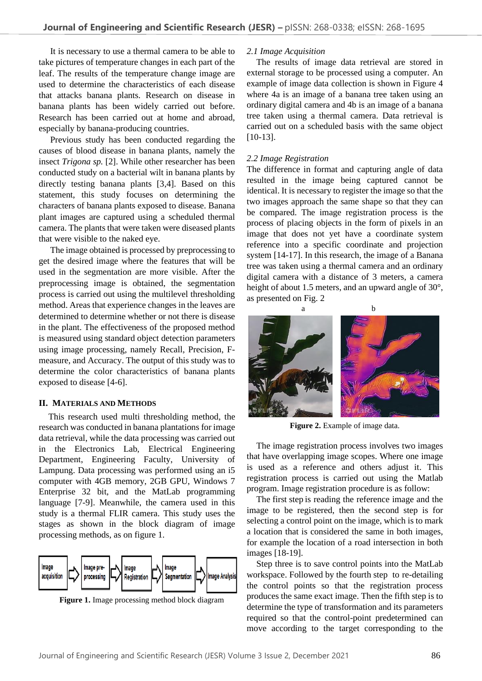It is necessary to use a thermal camera to be able to take pictures of temperature changes in each part of the leaf. The results of the temperature change image are used to determine the characteristics of each disease that attacks banana plants. Research on disease in banana plants has been widely carried out before. Research has been carried out at home and abroad, especially by banana-producing countries.

Previous study has been conducted regarding the causes of blood disease in banana plants, namely the insect *Trigona sp.* [2]. While other researcher has been conducted study on a bacterial wilt in banana plants by directly testing banana plants [3,4]. Based on this statement, this study focuses on determining the characters of banana plants exposed to disease. Banana plant images are captured using a scheduled thermal camera. The plants that were taken were diseased plants that were visible to the naked eye.

The image obtained is processed by preprocessing to get the desired image where the features that will be used in the segmentation are more visible. After the preprocessing image is obtained, the segmentation process is carried out using the multilevel thresholding method. Areas that experience changes in the leaves are determined to determine whether or not there is disease in the plant. The effectiveness of the proposed method is measured using standard object detection parameters using image processing, namely Recall, Precision, Fmeasure, and Accuracy. The output of this study was to determine the color characteristics of banana plants exposed to disease [4-6].

## **II. MATERIALS AND METHODS**

This research used multi thresholding method, the research was conducted in banana plantations for image data retrieval, while the data processing was carried out in the Electronics Lab, Electrical Engineering Department, Engineering Faculty, University of Lampung. Data processing was performed using an i5 computer with 4GB memory, 2GB GPU, Windows 7 Enterprise 32 bit, and the MatLab programming language [7-9]. Meanwhile, the camera used in this study is a thermal FLIR camera. This study uses the stages as shown in the block diagram of image processing methods, as on figure 1.



**Figure 1.** Image processing method block diagram

## *2.1 Image Acquisition*

The results of image data retrieval are stored in external storage to be processed using a computer. An example of image data collection is shown in Figure 4 where 4a is an image of a banana tree taken using an ordinary digital camera and 4b is an image of a banana tree taken using a thermal camera. Data retrieval is carried out on a scheduled basis with the same object [10-13].

# *2.2 Image Registration*

The difference in format and capturing angle of data resulted in the image being captured cannot be identical. It is necessary to register the image so that the two images approach the same shape so that they can be compared. The image registration process is the process of placing objects in the form of pixels in an image that does not yet have a coordinate system reference into a specific coordinate and projection system [14-17]. In this research, the image of a Banana tree was taken using a thermal camera and an ordinary digital camera with a distance of 3 meters, a camera height of about 1.5 meters, and an upward angle of 30°, as presented on Fig. 2



**Figure 2.** Example of image data.

The image registration process involves two images that have overlapping image scopes. Where one image is used as a reference and others adjust it. This registration process is carried out using the Matlab program. Image registration procedure is as follow:

The first step is reading the reference image and the image to be registered, then the second step is for selecting a control point on the image, which is to mark a location that is considered the same in both images, for example the location of a road intersection in both images [18-19].

Step three is to save control points into the MatLab workspace. Followed by the fourth step to re-detailing the control points so that the registration process produces the same exact image. Then the fifth step is to determine the type of transformation and its parameters required so that the control-point predetermined can move according to the target corresponding to the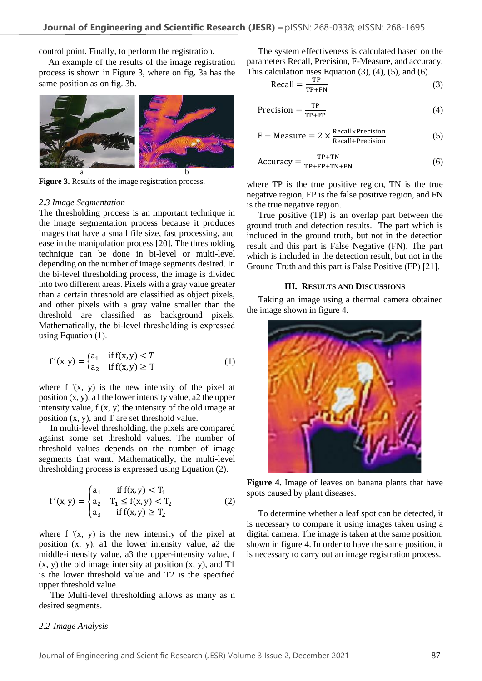control point. Finally, to perform the registration.

An example of the results of the image registration process is shown in Figure 3, where on fig. 3a has the same position as on fig. 3b.



**Figure 3.** Results of the image registration process.

#### *2.3 Image Segmentation*

The thresholding process is an important technique in the image segmentation process because it produces images that have a small file size, fast processing, and ease in the manipulation process [20]. The thresholding technique can be done in bi-level or multi-level depending on the number of image segments desired. In the bi-level thresholding process, the image is divided into two different areas. Pixels with a gray value greater than a certain threshold are classified as object pixels, and other pixels with a gray value smaller than the threshold are classified as background pixels. Mathematically, the bi-level thresholding is expressed using Equation (1).

$$
f'(x, y) = \begin{cases} a_1 & \text{if } f(x, y) < T \\ a_2 & \text{if } f(x, y) \ge T \end{cases}
$$
 (1)

where  $f'(x, y)$  is the new intensity of the pixel at position  $(x, y)$ , al the lower intensity value, a 2 the upper intensity value, f (x, y) the intensity of the old image at position (x, y), and T are set threshold value.

In multi-level thresholding, the pixels are compared against some set threshold values. The number of threshold values depends on the number of image segments that want. Mathematically, the multi-level thresholding process is expressed using Equation (2).

$$
f'(x,y) = \begin{cases} a_1 & \text{if } f(x,y) < T_1 \\ a_2 & T_1 \le f(x,y) < T_2 \\ a_3 & \text{if } f(x,y) \ge T_2 \end{cases}
$$
 (2)

where  $f'(x, y)$  is the new intensity of the pixel at position (x, y), a1 the lower intensity value, a2 the middle-intensity value, a3 the upper-intensity value, f  $(x, y)$  the old image intensity at position  $(x, y)$ , and T1 is the lower threshold value and T2 is the specified upper threshold value.

The Multi-level thresholding allows as many as n desired segments.

# The system effectiveness is calculated based on the parameters Recall, Precision, F-Measure, and accuracy. This calculation uses Equation  $(3)$ ,  $(4)$ ,  $(5)$ , and  $(6)$ .

$$
Recall = \frac{TP}{TP + FN}
$$
 (3)

$$
Precision = \frac{TP}{TP + FP}
$$
 (4)

$$
F - Measure = 2 \times \frac{Recall \times Precision}{Recall + Precision}
$$
 (5)

$$
Accuracy = \frac{TP + TN}{TP + FP + TN + FN}
$$
 (6)

where TP is the true positive region, TN is the true negative region, FP is the false positive region, and FN is the true negative region.

True positive (TP) is an overlap part between the ground truth and detection results. The part which is included in the ground truth, but not in the detection result and this part is False Negative (FN). The part which is included in the detection result, but not in the Ground Truth and this part is False Positive (FP) [21].

#### **III. RESULTS AND DISCUSSIONS**

Taking an image using a thermal camera obtained the image shown in figure 4.



**Figure 4.** Image of leaves on banana plants that have spots caused by plant diseases.

To determine whether a leaf spot can be detected, it is necessary to compare it using images taken using a digital camera. The image is taken at the same position, shown in figure 4. In order to have the same position, it is necessary to carry out an image registration process.

#### *2.2 Image Analysis*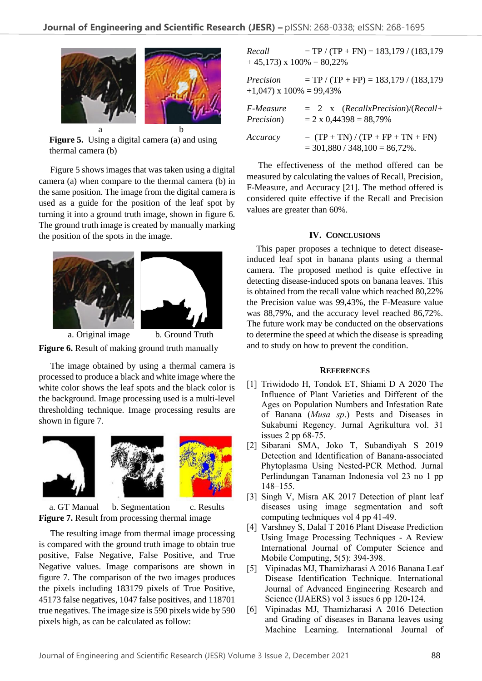

**Figure 5.** Using a digital camera (a) and using thermal camera (b)

Figure 5 shows images that was taken using a digital camera (a) when compare to the thermal camera (b) in the same position. The image from the digital camera is used as a guide for the position of the leaf spot by turning it into a ground truth image, shown in figure 6. The ground truth image is created by manually marking the position of the spots in the image.



a. Original image b. Ground Truth **Figure 6.** Result of making ground truth manually

The image obtained by using a thermal camera is processed to produce a black and white image where the white color shows the leaf spots and the black color is the background. Image processing used is a multi-level thresholding technique. Image processing results are shown in figure 7.



a. GT Manual b. Segmentation c. Results **Figure 7.** Result from processing thermal image

The resulting image from thermal image processing is compared with the ground truth image to obtain true positive, False Negative, False Positive, and True Negative values. Image comparisons are shown in figure 7. The comparison of the two images produces the pixels including 183179 pixels of True Positive, 45173 false negatives, 1047 false positives, and 118701 true negatives. The image size is 590 pixels wide by 590 pixels high, as can be calculated as follow:

 $Recall = TP / (TP + FN) = 183,179 / (183,179)$  $+ 45,173$  x  $100\% = 80,22\%$ 

*Precision* = TP / (TP + FP) = 183,179 / (183,179  $+1,047$ ) x  $100\% = 99,43\%$ 

| <i>F-Measure</i>   | $= 2$ x (RecallxPrecision)/(Recall+                                    |
|--------------------|------------------------------------------------------------------------|
| <i>Precision</i> ) | $= 2 \times 0,44398 = 88,79\%$                                         |
| Accuracy           | $= (TP + TN) / (TP + FP + TN + FN)$<br>$=$ 301,880 / 348,100 = 86,72%. |

The effectiveness of the method offered can be measured by calculating the values of Recall, Precision, F-Measure, and Accuracy [21]. The method offered is considered quite effective if the Recall and Precision values are greater than 60%.

#### **IV. CONCLUSIONS**

This paper proposes a technique to detect diseaseinduced leaf spot in banana plants using a thermal camera. The proposed method is quite effective in detecting disease-induced spots on banana leaves. This is obtained from the recall value which reached 80,22% the Precision value was 99,43%, the F-Measure value was 88,79%, and the accuracy level reached 86,72%. The future work may be conducted on the observations to determine the speed at which the disease is spreading and to study on how to prevent the condition.

#### **REFERENCES**

- [1] Triwidodo H, Tondok ET, Shiami D A 2020 The Influence of Plant Varieties and Different of the Ages on Population Numbers and Infestation Rate of Banana (*Musa sp*.) Pests and Diseases in Sukabumi Regency. Jurnal Agrikultura vol. 31 issues 2 pp 68-75.
- [2] Sibarani SMA, Joko T, Subandiyah S 2019 Detection and Identification of Banana-associated Phytoplasma Using Nested-PCR Method. Jurnal Perlindungan Tanaman Indonesia vol 23 no 1 pp 148–155.
- [3] Singh V, Misra AK 2017 Detection of plant leaf diseases using image segmentation and soft computing techniques vol 4 pp 41-49.
- [4] Varshney S, Dalal T 2016 Plant Disease Prediction Using Image Processing Techniques - A Review International Journal of Computer Science and Mobile Computing, 5(5): 394-398.
- [5] Vipinadas MJ, Thamizharasi A 2016 Banana Leaf Disease Identification Technique. International Journal of Advanced Engineering Research and Science (IJAERS) vol 3 issues 6 pp 120-124.
- [6] Vipinadas MJ, Thamizharasi A 2016 Detection and Grading of diseases in Banana leaves using Machine Learning. International Journal of